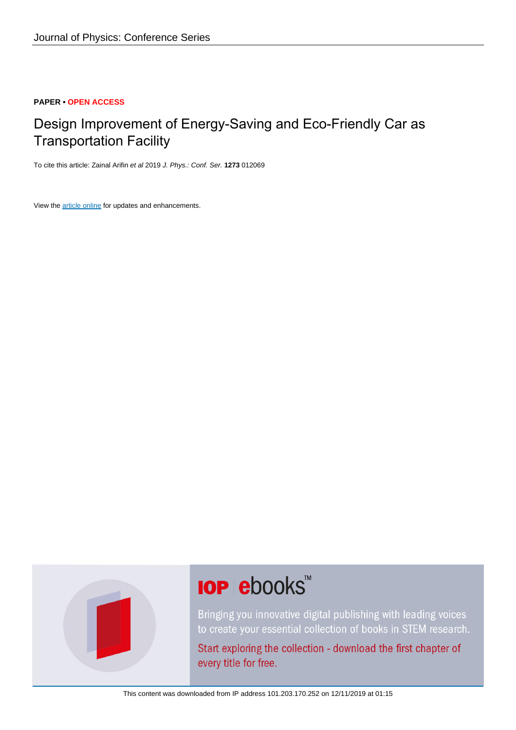# **PAPER • OPEN ACCESS**

# Design Improvement of Energy-Saving and Eco-Friendly Car as Transportation Facility

To cite this article: Zainal Arifin et al 2019 J. Phys.: Conf. Ser. **1273** 012069

View the [article online](https://doi.org/10.1088/1742-6596/1273/1/012069) for updates and enhancements.



# **IOP ebooks**™

Bringing you innovative digital publishing with leading voices to create your essential collection of books in STEM research.

Start exploring the collection - download the first chapter of every title for free.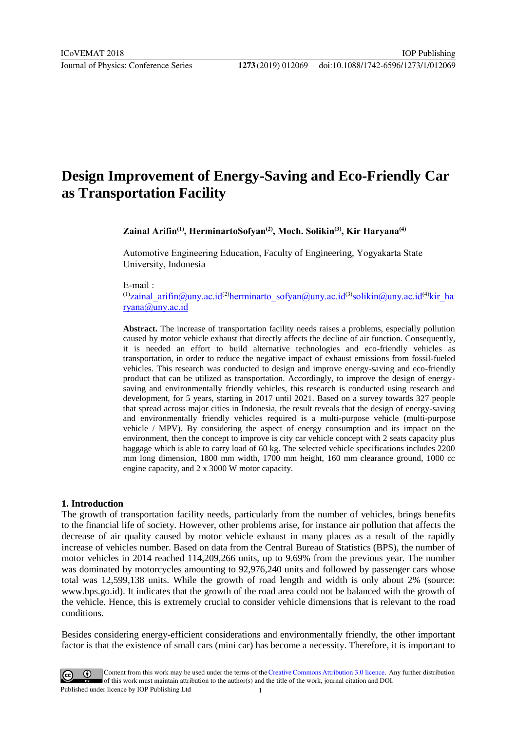# **Design Improvement of Energy-Saving and Eco-Friendly Car as Transportation Facility**

**Zainal Arifin(1) , HerminartoSofyan(2), Moch. Solikin(3), Kir Haryana(4)**

Automotive Engineering Education, Faculty of Engineering, Yogyakarta State University, Indonesia

E-mail :

(1)[zainal\\_arifin@uny.ac.id](mailto:zainal_arifin@uny.ac.id)<sup>(2)</sup>[herminarto\\_sofyan@uny.ac.id](mailto:herminarto_sofyan@uny.ac.id)<sup>(3)</sup>[solikin@uny.ac.id](mailto:solikin@uny.ac.id)<sup>(4)</sup>[kir\\_ha](mailto:kir_haryana@uny.ac.id) [ryana@uny.ac.id](mailto:kir_haryana@uny.ac.id)

**Abstract.** The increase of transportation facility needs raises a problems, especially pollution caused by motor vehicle exhaust that directly affects the decline of air function. Consequently, it is needed an effort to build alternative technologies and eco-friendly vehicles as transportation, in order to reduce the negative impact of exhaust emissions from fossil-fueled vehicles. This research was conducted to design and improve energy-saving and eco-friendly product that can be utilized as transportation. Accordingly, to improve the design of energysaving and environmentally friendly vehicles, this research is conducted using research and development, for 5 years, starting in 2017 until 2021. Based on a survey towards 327 people that spread across major cities in Indonesia, the result reveals that the design of energy-saving and environmentally friendly vehicles required is a multi-purpose vehicle (multi-purpose vehicle / MPV). By considering the aspect of energy consumption and its impact on the environment, then the concept to improve is city car vehicle concept with 2 seats capacity plus baggage which is able to carry load of 60 kg. The selected vehicle specifications includes 2200 mm long dimension, 1800 mm width, 1700 mm height, 160 mm clearance ground, 1000 cc engine capacity, and 2 x 3000 W motor capacity.

#### **1. Introduction**

The growth of transportation facility needs, particularly from the number of vehicles, brings benefits to the financial life of society. However, other problems arise, for instance air pollution that affects the decrease of air quality caused by motor vehicle exhaust in many places as a result of the rapidly increase of vehicles number. Based on data from the Central Bureau of Statistics (BPS), the number of motor vehicles in 2014 reached 114,209,266 units, up to 9.69% from the previous year. The number was dominated by motorcycles amounting to 92,976,240 units and followed by passenger cars whose total was 12,599,138 units. While the growth of road length and width is only about 2% (source: www.bps.go.id). It indicates that the growth of the road area could not be balanced with the growth of the vehicle. Hence, this is extremely crucial to consider vehicle dimensions that is relevant to the road conditions.

Besides considering energy-efficient considerations and environmentally friendly, the other important factor is that the existence of small cars (mini car) has become a necessity. Therefore, it is important to

Content from this work may be used under the terms of theCreative Commons Attribution 3.0 licence. Any further distribution of this work must maintain attribution to the author(s) and the title of the work, journal citation and DOI. Published under licence by IOP Publishing Ltd 1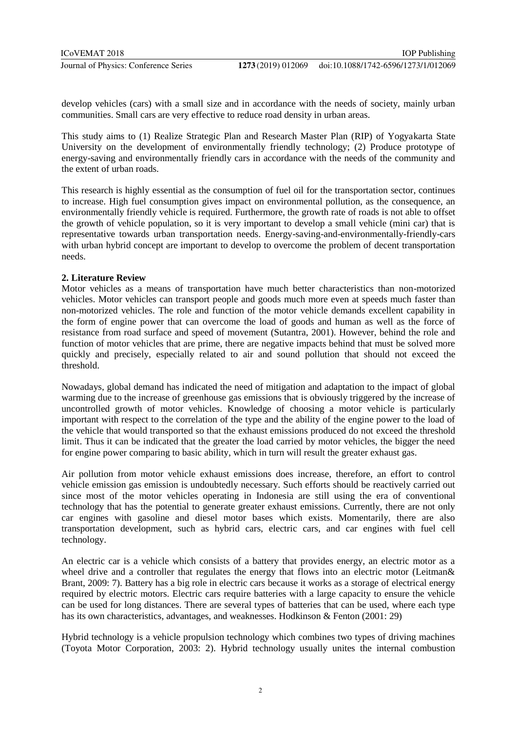develop vehicles (cars) with a small size and in accordance with the needs of society, mainly urban communities. Small cars are very effective to reduce road density in urban areas.

This study aims to (1) Realize Strategic Plan and Research Master Plan (RIP) of Yogyakarta State University on the development of environmentally friendly technology; (2) Produce prototype of energy-saving and environmentally friendly cars in accordance with the needs of the community and the extent of urban roads.

This research is highly essential as the consumption of fuel oil for the transportation sector, continues to increase. High fuel consumption gives impact on environmental pollution, as the consequence, an environmentally friendly vehicle is required. Furthermore, the growth rate of roads is not able to offset the growth of vehicle population, so it is very important to develop a small vehicle (mini car) that is representative towards urban transportation needs. Energy-saving-and-environmentally-friendly-cars with urban hybrid concept are important to develop to overcome the problem of decent transportation needs.

## **2. Literature Review**

Motor vehicles as a means of transportation have much better characteristics than non-motorized vehicles. Motor vehicles can transport people and goods much more even at speeds much faster than non-motorized vehicles. The role and function of the motor vehicle demands excellent capability in the form of engine power that can overcome the load of goods and human as well as the force of resistance from road surface and speed of movement (Sutantra, 2001). However, behind the role and function of motor vehicles that are prime, there are negative impacts behind that must be solved more quickly and precisely, especially related to air and sound pollution that should not exceed the threshold.

Nowadays, global demand has indicated the need of mitigation and adaptation to the impact of global warming due to the increase of greenhouse gas emissions that is obviously triggered by the increase of uncontrolled growth of motor vehicles. Knowledge of choosing a motor vehicle is particularly important with respect to the correlation of the type and the ability of the engine power to the load of the vehicle that would transported so that the exhaust emissions produced do not exceed the threshold limit. Thus it can be indicated that the greater the load carried by motor vehicles, the bigger the need for engine power comparing to basic ability, which in turn will result the greater exhaust gas.

Air pollution from motor vehicle exhaust emissions does increase, therefore, an effort to control vehicle emission gas emission is undoubtedly necessary. Such efforts should be reactively carried out since most of the motor vehicles operating in Indonesia are still using the era of conventional technology that has the potential to generate greater exhaust emissions. Currently, there are not only car engines with gasoline and diesel motor bases which exists. Momentarily, there are also transportation development, such as hybrid cars, electric cars, and car engines with fuel cell technology.

An electric car is a vehicle which consists of a battery that provides energy, an electric motor as a wheel drive and a controller that regulates the energy that flows into an electric motor (Leitman & Brant, 2009: 7). Battery has a big role in electric cars because it works as a storage of electrical energy required by electric motors. Electric cars require batteries with a large capacity to ensure the vehicle can be used for long distances. There are several types of batteries that can be used, where each type has its own characteristics, advantages, and weaknesses. Hodkinson & Fenton (2001: 29)

Hybrid technology is a vehicle propulsion technology which combines two types of driving machines (Toyota Motor Corporation, 2003: 2). Hybrid technology usually unites the internal combustion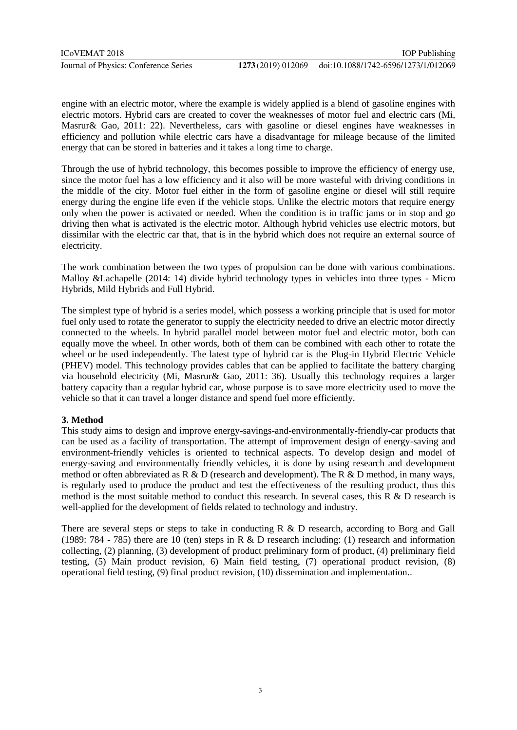engine with an electric motor, where the example is widely applied is a blend of gasoline engines with electric motors. Hybrid cars are created to cover the weaknesses of motor fuel and electric cars (Mi, Masrur& Gao, 2011: 22). Nevertheless, cars with gasoline or diesel engines have weaknesses in efficiency and pollution while electric cars have a disadvantage for mileage because of the limited energy that can be stored in batteries and it takes a long time to charge.

Through the use of hybrid technology, this becomes possible to improve the efficiency of energy use, since the motor fuel has a low efficiency and it also will be more wasteful with driving conditions in the middle of the city. Motor fuel either in the form of gasoline engine or diesel will still require energy during the engine life even if the vehicle stops. Unlike the electric motors that require energy only when the power is activated or needed. When the condition is in traffic jams or in stop and go driving then what is activated is the electric motor. Although hybrid vehicles use electric motors, but dissimilar with the electric car that, that is in the hybrid which does not require an external source of electricity.

The work combination between the two types of propulsion can be done with various combinations. Malloy &Lachapelle (2014: 14) divide hybrid technology types in vehicles into three types - Micro Hybrids, Mild Hybrids and Full Hybrid.

The simplest type of hybrid is a series model, which possess a working principle that is used for motor fuel only used to rotate the generator to supply the electricity needed to drive an electric motor directly connected to the wheels. In hybrid parallel model between motor fuel and electric motor, both can equally move the wheel. In other words, both of them can be combined with each other to rotate the wheel or be used independently. The latest type of hybrid car is the Plug-in Hybrid Electric Vehicle (PHEV) model. This technology provides cables that can be applied to facilitate the battery charging via household electricity (Mi, Masrur& Gao, 2011: 36). Usually this technology requires a larger battery capacity than a regular hybrid car, whose purpose is to save more electricity used to move the vehicle so that it can travel a longer distance and spend fuel more efficiently.

## **3. Method**

This study aims to design and improve energy-savings-and-environmentally-friendly-car products that can be used as a facility of transportation. The attempt of improvement design of energy-saving and environment-friendly vehicles is oriented to technical aspects. To develop design and model of energy-saving and environmentally friendly vehicles, it is done by using research and development method or often abbreviated as  $R \& D$  (research and development). The  $R \& D$  method, in many ways, is regularly used to produce the product and test the effectiveness of the resulting product, thus this method is the most suitable method to conduct this research. In several cases, this R & D research is well-applied for the development of fields related to technology and industry.

There are several steps or steps to take in conducting R & D research, according to Borg and Gall (1989: 784 - 785) there are 10 (ten) steps in R & D research including: (1) research and information collecting, (2) planning, (3) development of product preliminary form of product, (4) preliminary field testing, (5) Main product revision, 6) Main field testing, (7) operational product revision, (8) operational field testing, (9) final product revision, (10) dissemination and implementation..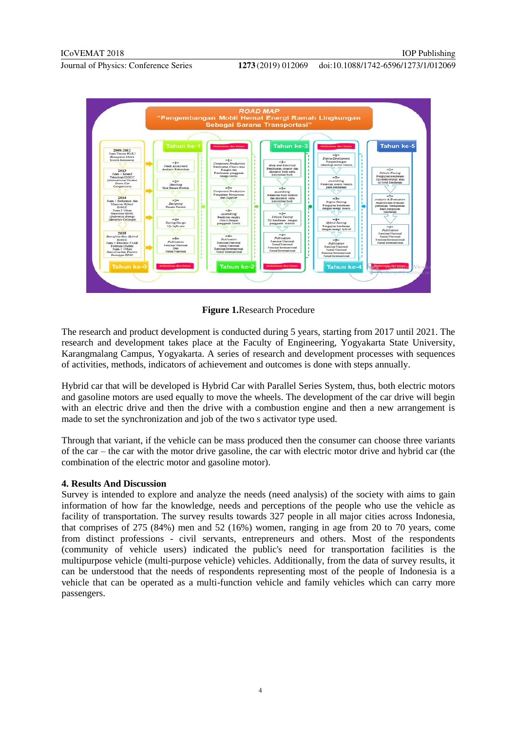



**Figure 1.**Research Procedure

The research and product development is conducted during 5 years, starting from 2017 until 2021. The research and development takes place at the Faculty of Engineering, Yogyakarta State University, Karangmalang Campus, Yogyakarta. A series of research and development processes with sequences of activities, methods, indicators of achievement and outcomes is done with steps annually.

Hybrid car that will be developed is Hybrid Car with Parallel Series System, thus, both electric motors and gasoline motors are used equally to move the wheels. The development of the car drive will begin with an electric drive and then the drive with a combustion engine and then a new arrangement is made to set the synchronization and job of the two s activator type used.

Through that variant, if the vehicle can be mass produced then the consumer can choose three variants of the car – the car with the motor drive gasoline, the car with electric motor drive and hybrid car (the combination of the electric motor and gasoline motor).

#### **4. Results And Discussion**

Survey is intended to explore and analyze the needs (need analysis) of the society with aims to gain information of how far the knowledge, needs and perceptions of the people who use the vehicle as facility of transportation. The survey results towards 327 people in all major cities across Indonesia, that comprises of 275 (84%) men and 52 (16%) women, ranging in age from 20 to 70 years, come from distinct professions - civil servants, entrepreneurs and others. Most of the respondents (community of vehicle users) indicated the public's need for transportation facilities is the multipurpose vehicle (multi-purpose vehicle) vehicles. Additionally, from the data of survey results, it can be understood that the needs of respondents representing most of the people of Indonesia is a vehicle that can be operated as a multi-function vehicle and family vehicles which can carry more passengers.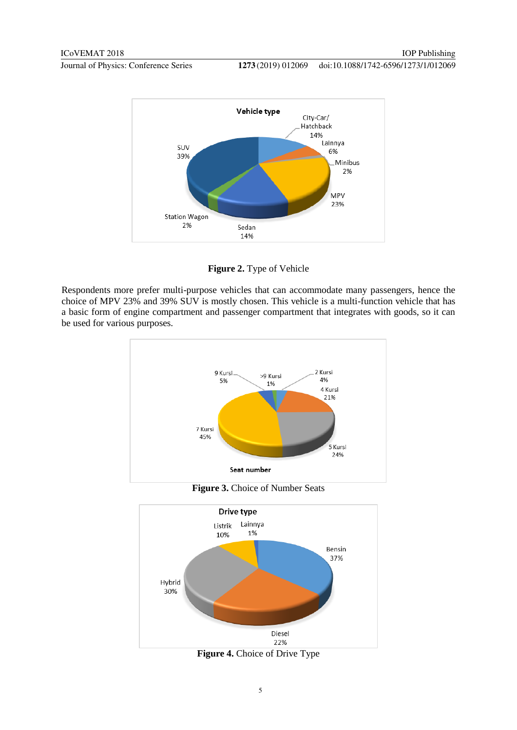doi:10.1088/1742-6596/1273/1/012069



**Figure 2.** Type of Vehicle

Respondents more prefer multi-purpose vehicles that can accommodate many passengers, hence the choice of MPV 23% and 39% SUV is mostly chosen. This vehicle is a multi-function vehicle that has a basic form of engine compartment and passenger compartment that integrates with goods, so it can be used for various purposes.





**Figure 4.** Choice of Drive Type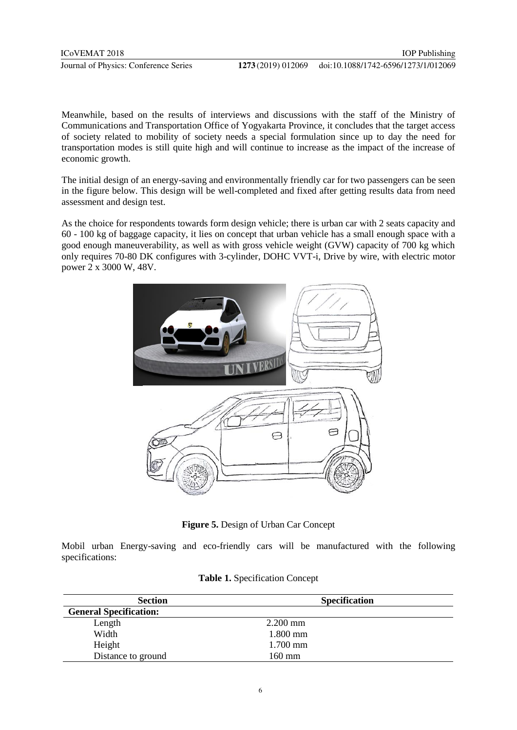Meanwhile, based on the results of interviews and discussions with the staff of the Ministry of Communications and Transportation Office of Yogyakarta Province, it concludes that the target access of society related to mobility of society needs a special formulation since up to day the need for transportation modes is still quite high and will continue to increase as the impact of the increase of economic growth.

The initial design of an energy-saving and environmentally friendly car for two passengers can be seen in the figure below. This design will be well-completed and fixed after getting results data from need assessment and design test.

As the choice for respondents towards form design vehicle; there is urban car with 2 seats capacity and 60 - 100 kg of baggage capacity, it lies on concept that urban vehicle has a small enough space with a good enough maneuverability, as well as with gross vehicle weight (GVW) capacity of 700 kg which only requires 70-80 DK configures with 3-cylinder, DOHC VVT-i, Drive by wire, with electric motor power 2 x 3000 W, 48V.



**Figure 5.** Design of Urban Car Concept

Mobil urban Energy-saving and eco-friendly cars will be manufactured with the following specifications:

|  | Table 1. Specification Concept |  |
|--|--------------------------------|--|
|--|--------------------------------|--|

| <b>Section</b>                | <b>Specification</b> |
|-------------------------------|----------------------|
| <b>General Specification:</b> |                      |
| Length                        | $2.200$ mm           |
| Width                         | 1.800 mm             |
| Height                        | $1.700$ mm           |
| Distance to ground            | $160 \text{ mm}$     |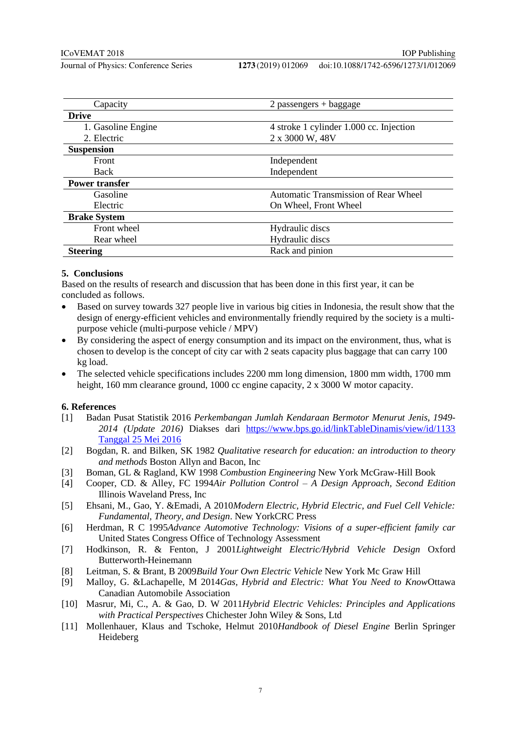#### doi:10.1088/1742-6596/1273/1/012069

| Capacity              | $2$ passengers + baggage                    |
|-----------------------|---------------------------------------------|
| <b>Drive</b>          |                                             |
| 1. Gasoline Engine    | 4 stroke 1 cylinder 1.000 cc. Injection     |
| 2. Electric           | 2 x 3000 W, 48V                             |
| <b>Suspension</b>     |                                             |
| Front                 | Independent                                 |
| Back                  | Independent                                 |
| <b>Power transfer</b> |                                             |
| Gasoline              | <b>Automatic Transmission of Rear Wheel</b> |
| Electric              | On Wheel, Front Wheel                       |
| <b>Brake System</b>   |                                             |
| Front wheel           | Hydraulic discs                             |
| Rear wheel            | Hydraulic discs                             |
| <b>Steering</b>       | Rack and pinion                             |

## **5. Conclusions**

Based on the results of research and discussion that has been done in this first year, it can be concluded as follows.

- Based on survey towards 327 people live in various big cities in Indonesia, the result show that the design of energy-efficient vehicles and environmentally friendly required by the society is a multipurpose vehicle (multi-purpose vehicle / MPV)
- By considering the aspect of energy consumption and its impact on the environment, thus, what is chosen to develop is the concept of city car with 2 seats capacity plus baggage that can carry 100 kg load.
- The selected vehicle specifications includes 2200 mm long dimension, 1800 mm width, 1700 mm height, 160 mm clearance ground, 1000 cc engine capacity, 2 x 3000 W motor capacity.

#### **6. References**

- [1] Badan Pusat Statistik 2016 *Perkembangan Jumlah Kendaraan Bermotor Menurut Jenis, 1949- 2014 (Update 2016)* Diakses dari [https://www.bps.go.id/linkTableDinamis/view/id/1133](https://www.bps.go.id/linkTableDinamis/view/id/1133%20Tanggal%2025%20Mei%202016)  [Tanggal 25 Mei 2016](https://www.bps.go.id/linkTableDinamis/view/id/1133%20Tanggal%2025%20Mei%202016)
- [2] Bogdan, R. and Bilken, SK 1982 *Qualitative research for education: an introduction to theory and methods* Boston Allyn and Bacon, Inc
- [3] Boman, GL & Ragland, KW 1998 *Combustion Engineering* New York McGraw-Hill Book
- [4] Cooper, CD. & Alley, FC 1994*Air Pollution Control – A Design Approach, Second Edition* Illinois Waveland Press, Inc
- [5] Ehsani, M., Gao, Y. &Emadi, A 2010*Modern Electric, Hybrid Electric, and Fuel Cell Vehicle: Fundamental, Theory, and Design*. New YorkCRC Press
- [6] Herdman, R C 1995*Advance Automotive Technology: Visions of a super-efficient family car* United States Congress Office of Technology Assessment
- [7] Hodkinson, R. & Fenton, J 2001*Lightweight Electric/Hybrid Vehicle Design* Oxford Butterworth-Heinemann
- [8] Leitman, S. & Brant, B 2009*Build Your Own Electric Vehicle* New York Mc Graw Hill
- [9] Malloy, G. &Lachapelle, M 2014*Gas, Hybrid and Electric: What You Need to Know*Ottawa Canadian Automobile Association
- [10] Masrur, Mi, C., A. & Gao, D. W 2011*Hybrid Electric Vehicles: Principles and Applications with Practical Perspectives* Chichester John Wiley & Sons, Ltd
- [11] Mollenhauer, Klaus and Tschoke, Helmut 2010*Handbook of Diesel Engine* Berlin Springer Heideberg